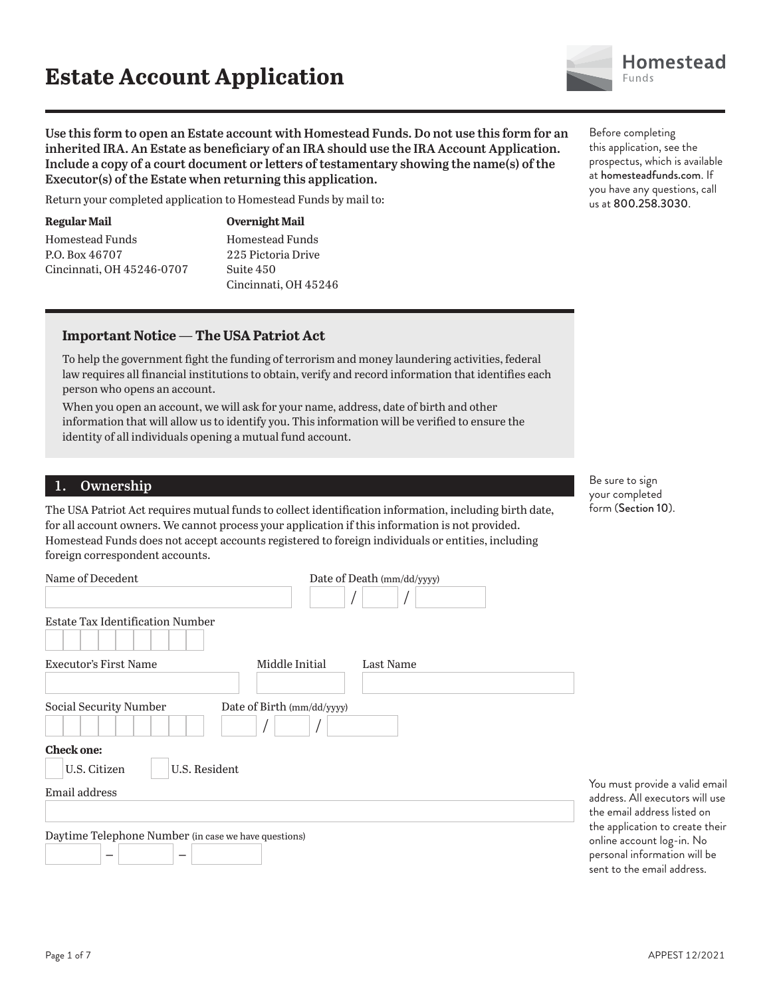**Use this form to open an Estate account with Homestead Funds. Do not use this form for an inherited IRA. An Estate as beneficiary of an IRA should use the IRA Account Application. Include a copy of a court document or letters of testamentary showing the name(s) of the Executor(s) of the Estate when returning this application.**

Return your completed application to Homestead Funds by mail to:

**Regular Mail** Homestead Funds P.O. Box 46707 Cincinnati, OH 45246-0707 **Overnight Mail** Homestead Funds 225 Pictoria Drive Suite 450 Cincinnati, OH 45246

#### **Important Notice — The USA Patriot Act**

To help the government fight the funding of terrorism and money laundering activities, federal law requires all financial institutions to obtain, verify and record information that identifies each person who opens an account.

When you open an account, we will ask for your name, address, date of birth and other information that will allow us to identify you. This information will be verified to ensure the identity of all individuals opening a mutual fund account.

#### **1. Ownership**

The USA Patriot Act requires mutual funds to collect identification information, including birth date, for all account owners. We cannot process your application if this information is not provided. Homestead Funds does not accept accounts registered to foreign individuals or entities, including foreign correspondent accounts.

| Name of Decedent                                     |                            | Date of Death (mm/dd/yyyy) |
|------------------------------------------------------|----------------------------|----------------------------|
| <b>Estate Tax Identification Number</b>              |                            |                            |
| <b>Executor's First Name</b>                         | Middle Initial             | Last Name                  |
| Social Security Number                               | Date of Birth (mm/dd/yyyy) |                            |
| <b>Check one:</b>                                    |                            |                            |
| U.S. Resident<br>U.S. Citizen                        |                            |                            |
| Email address                                        |                            |                            |
|                                                      |                            |                            |
| Daytime Telephone Number (in case we have questions) |                            |                            |

Before completing this application, see the prospectus, which is available at homesteadfunds.com. If you have any questions, call us at 800.258.3030.

Be sure to sign your completed form (Section 10).

You must provide a valid email address. All executors will use the email address listed on the application to create their online account log-in. No personal information will be sent to the email address.

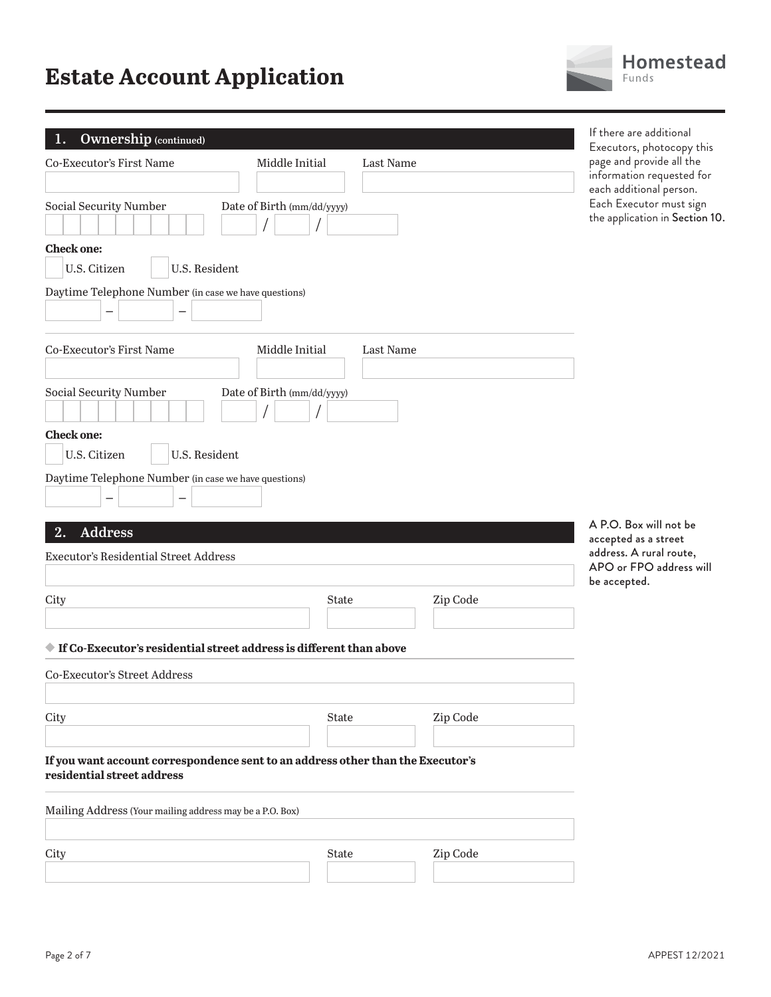| Homestead<br>Funds                                                                                                |
|-------------------------------------------------------------------------------------------------------------------|
| If there are additional<br>Executors, photocopy this<br>page and provide all the                                  |
| information requested for<br>each additional person.<br>Each Executor must sign<br>the application in Section 10. |

| <b>Ownership</b> (continued)<br>1.                                                                            |                             |          | If there are additional<br>Executors, photocopy this                                 |
|---------------------------------------------------------------------------------------------------------------|-----------------------------|----------|--------------------------------------------------------------------------------------|
| Co-Executor's First Name                                                                                      | Middle Initial<br>Last Name |          | page and provide all the<br>information requested for                                |
| Social Security Number                                                                                        | Date of Birth (mm/dd/yyyy)  |          | each additional person.<br>Each Executor must sign<br>the application in Section 10. |
| <b>Check one:</b>                                                                                             |                             |          |                                                                                      |
| U.S. Citizen<br>U.S. Resident                                                                                 |                             |          |                                                                                      |
| Daytime Telephone Number (in case we have questions)                                                          |                             |          |                                                                                      |
|                                                                                                               |                             |          |                                                                                      |
| <b>Co-Executor's First Name</b>                                                                               | Middle Initial<br>Last Name |          |                                                                                      |
|                                                                                                               |                             |          |                                                                                      |
| <b>Social Security Number</b>                                                                                 | Date of Birth (mm/dd/yyyy)  |          |                                                                                      |
| <b>Check one:</b>                                                                                             |                             |          |                                                                                      |
| U.S. Resident<br>U.S. Citizen                                                                                 |                             |          |                                                                                      |
| Daytime Telephone Number (in case we have questions)                                                          |                             |          |                                                                                      |
|                                                                                                               |                             |          |                                                                                      |
| <b>Address</b><br>2.                                                                                          |                             |          | A P.O. Box will not be                                                               |
| <b>Executor's Residential Street Address</b>                                                                  |                             |          | accepted as a street<br>address. A rural route,                                      |
|                                                                                                               |                             |          | APO or FPO address will<br>be accepted.                                              |
| City                                                                                                          | <b>State</b>                | Zip Code |                                                                                      |
|                                                                                                               |                             |          |                                                                                      |
| $\blacklozenge$ If Co-Executor's residential street address is different than above                           |                             |          |                                                                                      |
| Co-Executor's Street Address                                                                                  |                             |          |                                                                                      |
|                                                                                                               |                             |          |                                                                                      |
| City                                                                                                          | <b>State</b>                | Zip Code |                                                                                      |
| If you want account correspondence sent to an address other than the Executor's<br>residential street address |                             |          |                                                                                      |
| Mailing Address (Your mailing address may be a P.O. Box)                                                      |                             |          |                                                                                      |
| City                                                                                                          | <b>State</b>                | Zip Code |                                                                                      |
|                                                                                                               |                             |          |                                                                                      |
|                                                                                                               |                             |          |                                                                                      |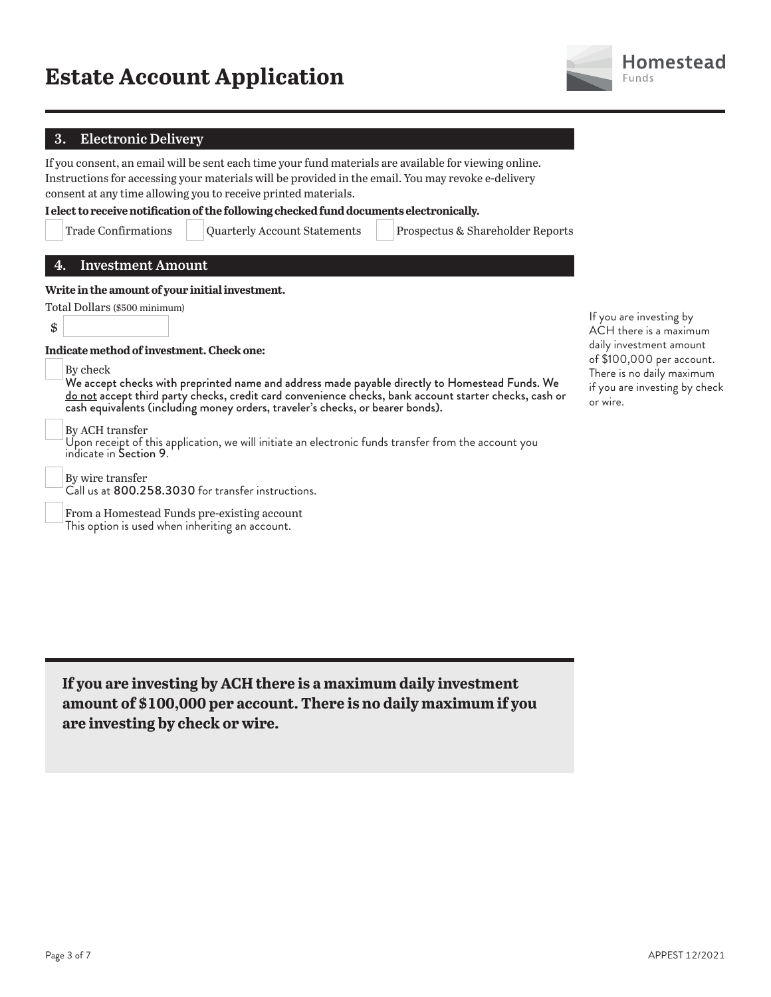

#### **3. Electronic Delivery**

If you consent, an email will be sent each time your fund materials are available for viewing online. Instructions for accessing your materials will be provided in the email. You may revoke e-delivery consent at any time allowing you to receive printed materials.

**I elect to receive notification of the following checked fund documents electronically.**

Trade Confirmations Quarterly Account Statements Prospectus & Shareholder Reports

#### **4. Investment Amount**

#### **Write in the amount of your initial investment.**

| Total Dollars (\$500 minimum) |  |
|-------------------------------|--|
| \$                            |  |

**Indicate method of investment. Check one:**

By check

We accept checks with preprinted name and address made payable directly to Homestead Funds. We do not accept third party checks, credit card convenience checks, bank account starter checks, cash or cash equivalents (including money orders, traveler's checks, or bearer bonds).

By ACH transfer

Upon receipt of this application, we will initiate an electronic funds transfer from the account you indicate in Section 9.

 By wire transfer Call us at 800.258.3030 for transfer instructions.

 From a Homestead Funds pre-existing account This option is used when inheriting an account.

If you are investing by ACH there is a maximum daily investment amount of \$100,000 per account. There is no daily maximum if you are investing by check or wire.

**If you are investing by ACH there is a maximum daily investment amount of \$100,000 per account. There is no daily maximum if you are investing by check or wire.**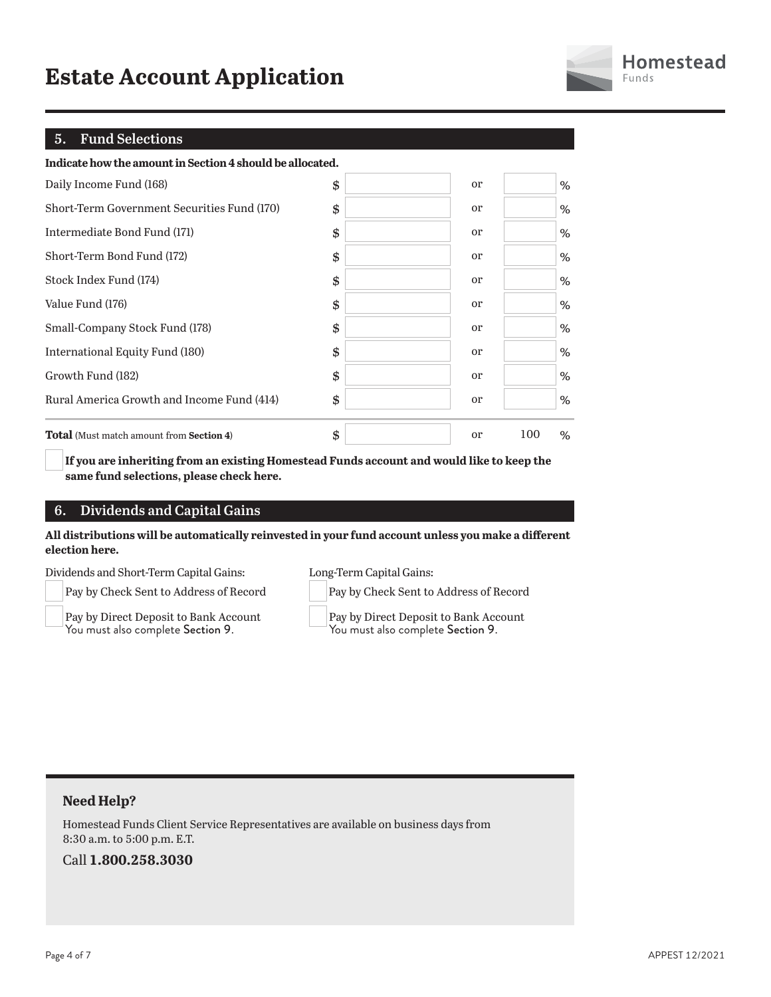| <b>Homestead</b> |
|------------------|
| Funds            |

#### **5. Fund Selections**

| Indicate how the amount in Section 4 should be allocated. |                     |          |
|-----------------------------------------------------------|---------------------|----------|
| Daily Income Fund (168)                                   | \$<br><sub>or</sub> | %        |
| Short-Term Government Securities Fund (170)               | \$<br><sub>or</sub> | %        |
| Intermediate Bond Fund (171)                              | \$<br><sub>or</sub> | %        |
| Short-Term Bond Fund (172)                                | \$<br><sub>or</sub> | %        |
| Stock Index Fund (174)                                    | \$<br><sub>or</sub> | %        |
| Value Fund (176)                                          | \$<br><sub>or</sub> | %        |
| Small-Company Stock Fund (178)                            | \$<br><sub>or</sub> | %        |
| International Equity Fund (180)                           | \$<br><sub>or</sub> | %        |
| Growth Fund (182)                                         | \$<br><sub>or</sub> | %        |
| Rural America Growth and Income Fund (414)                | \$<br><sub>or</sub> | $\%$     |
| <b>Total</b> (Must match amount from <b>Section 4)</b>    | \$<br><sub>or</sub> | 100<br>% |

**If you are inheriting from an existing Homestead Funds account and would like to keep the same fund selections, please check here.**

#### **6. Dividends and Capital Gains**

#### **All distributions will be automatically reinvested in your fund account unless you make a different election here.**

Dividends and Short-Term Capital Gains:

Pay by Check Sent to Address of Record

 Pay by Direct Deposit to Bank Account You must also complete Section 9.

Long-Term Capital Gains:

Pay by Check Sent to Address of Record

 Pay by Direct Deposit to Bank Account You must also complete Section 9.

#### **Need Help?**

Homestead Funds Client Service Representatives are available on business days from 8:30 a.m. to 5:00 p.m. E.T.

#### Call **1.800.258.3030**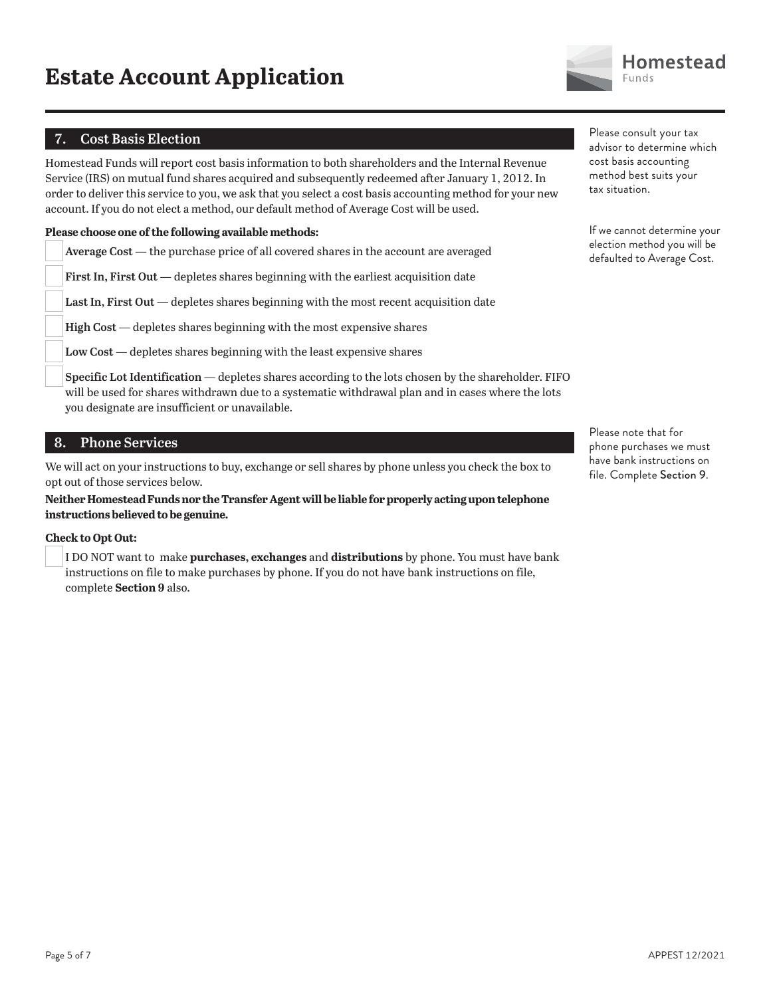

#### **7. Cost Basis Election**

Homestead Funds will report cost basis information to both shareholders and the Internal Revenue Service (IRS) on mutual fund shares acquired and subsequently redeemed after January 1, 2012. In order to deliver this service to you, we ask that you select a cost basis accounting method for your new account. If you do not elect a method, our default method of Average Cost will be used.

#### **Please choose one of the following available methods:**

**Average Cost** — the purchase price of all covered shares in the account are averaged

**First In, First Out** — depletes shares beginning with the earliest acquisition date

**Last In, First Out** — depletes shares beginning with the most recent acquisition date

**High Cost** — depletes shares beginning with the most expensive shares

**Low Cost** — depletes shares beginning with the least expensive shares

**Specific Lot Identification** — depletes shares according to the lots chosen by the shareholder. FIFO will be used for shares withdrawn due to a systematic withdrawal plan and in cases where the lots you designate are insufficient or unavailable.

#### **8. Phone Services**

We will act on your instructions to buy, exchange or sell shares by phone unless you check the box to opt out of those services below.

**Neither Homestead Funds nor the Transfer Agent will be liable for properly acting upon telephone instructions believed to be genuine.**

#### **Check to Opt Out:**

 I DO NOT want to make **purchases, exchanges** and **distributions** by phone. You must have bank instructions on file to make purchases by phone. If you do not have bank instructions on file, complete **Section 9** also.

Please consult your tax advisor to determine which cost basis accounting method best suits your tax situation.

If we cannot determine your election method you will be defaulted to Average Cost.

Please note that for phone purchases we must have bank instructions on file. Complete Section 9.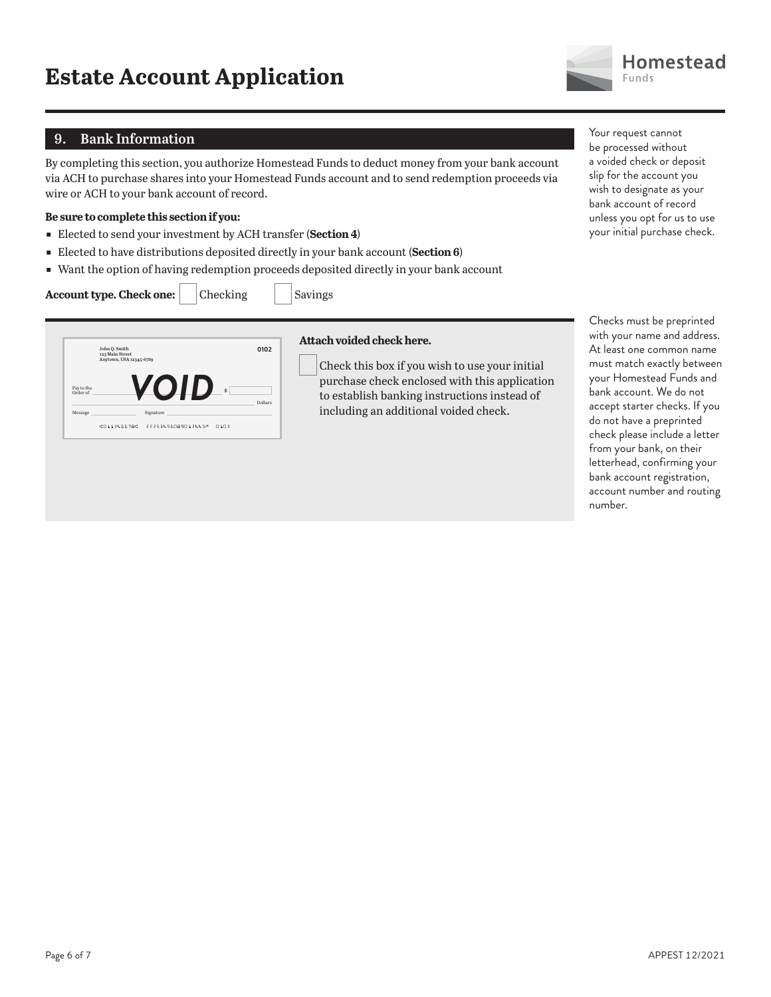### **9. Bank Information**

By completing this section, you authorize Homestead Funds to deduct money from your bank account via ACH to purchase shares into your Homestead Funds account and to send redemption proceeds via wire or ACH to your bank account of record.

#### **Be sure to complete this section if you:**

- ɕ Elected to send your investment by ACH transfer (**Section 4**)
- **Elected to have distributions deposited directly in your bank account (Section 6)**
- Want the option of having redemption proceeds deposited directly in your bank account

#### **Account type. Check one:** | Checking | Savings

|            | John Q. Smith<br>123 Main Street<br>Anytown, USA 12345-6789 |             | 0102    |
|------------|-------------------------------------------------------------|-------------|---------|
| Pay to the |                                                             | ZOID<br>\$. |         |
| Order of   |                                                             |             |         |
| Message    |                                                             | Signature   | Dollars |

#### **Attach voided check here.**

Check this box if you wish to use your initial purchase check enclosed with this application to establish banking instructions instead of including an additional voided check.

Your request cannot be processed without a voided check or deposit slip for the account you wish to designate as your bank account of record unless you opt for us to use your initial purchase check.

Checks must be preprinted with your name and address. At least one common name must match exactly between your Homestead Funds and bank account. We do not accept starter checks. If you do not have a preprinted check please include a letter from your bank, on their letterhead, confirming your bank account registration, account number and routing number.